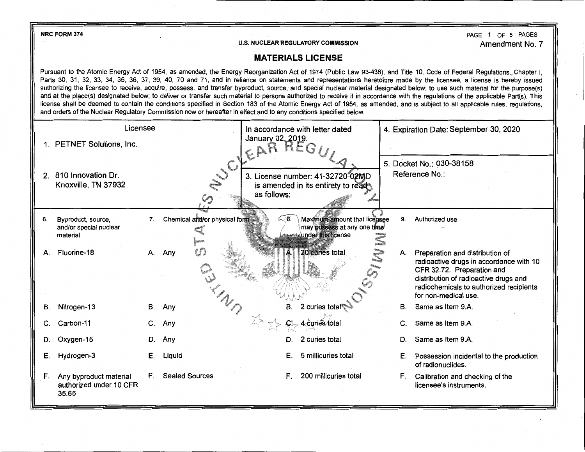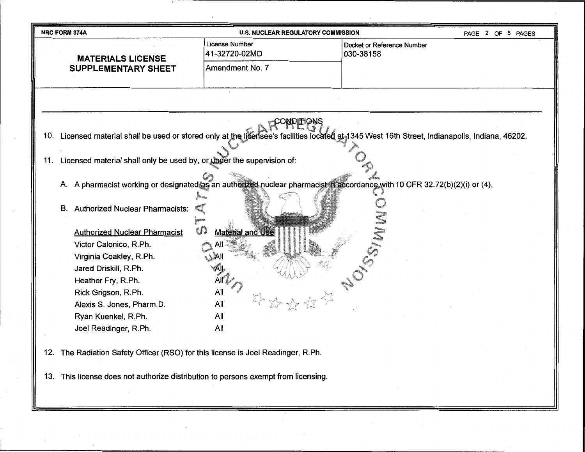| NRC FORM 374A<br><b>U.S. NUCLEAR REGULATORY COMMISSION</b><br>PAGE 2 OF 5 PAGES     |                                 |                                                                                                                                                 |  |  |
|-------------------------------------------------------------------------------------|---------------------------------|-------------------------------------------------------------------------------------------------------------------------------------------------|--|--|
| <b>MATERIALS LICENSE</b>                                                            | License Number<br>41-32720-02MD | Docket or Reference Number<br>030-38158                                                                                                         |  |  |
| <b>SUPPLEMENTARY SHEET</b>                                                          | Amendment No. 7                 |                                                                                                                                                 |  |  |
|                                                                                     |                                 |                                                                                                                                                 |  |  |
|                                                                                     |                                 |                                                                                                                                                 |  |  |
|                                                                                     |                                 |                                                                                                                                                 |  |  |
|                                                                                     | )NDITIONS                       |                                                                                                                                                 |  |  |
|                                                                                     |                                 | 10. Licensed material shall be used or stored only at the licensee's facilities located at 1345 West 16th Street, Indianapolis, Indiana, 46202. |  |  |
|                                                                                     |                                 |                                                                                                                                                 |  |  |
| Licensed material shall only be used by, or under the supervision of:<br>11.        |                                 |                                                                                                                                                 |  |  |
|                                                                                     |                                 |                                                                                                                                                 |  |  |
|                                                                                     |                                 | A. A pharmacist working or designated as an authorized nuclear pharmacist in accordance with 10 CFR 32.72(b)(2)(i) or (4).                      |  |  |
| <b>Authorized Nuclear Pharmacists:</b><br>В.                                        |                                 |                                                                                                                                                 |  |  |
|                                                                                     |                                 |                                                                                                                                                 |  |  |
| <b>Authorized Nuclear Pharmacist</b>                                                | $\cal{G}$<br>Material and Use   |                                                                                                                                                 |  |  |
| Victor Calonico, R.Ph.                                                              |                                 |                                                                                                                                                 |  |  |
| Virginia Coakley, R.Ph.                                                             |                                 |                                                                                                                                                 |  |  |
| Jared Driskill, R.Ph.                                                               |                                 |                                                                                                                                                 |  |  |
| Heather Fry, R.Ph.                                                                  | Aff                             |                                                                                                                                                 |  |  |
| Rick Grigson, R.Ph.                                                                 | All                             |                                                                                                                                                 |  |  |
| Alexis S. Jones, Pharm.D.                                                           | All                             |                                                                                                                                                 |  |  |
| Ryan Kuenkel, R.Ph.                                                                 | All                             |                                                                                                                                                 |  |  |
| Joel Readinger, R.Ph.                                                               | All                             |                                                                                                                                                 |  |  |
|                                                                                     |                                 |                                                                                                                                                 |  |  |
| The Radiation Safety Officer (RSO) for this license is Joel Readinger, R.Ph.<br>12. |                                 |                                                                                                                                                 |  |  |

13. This license does not authorize distribution to persons exempt from licensing.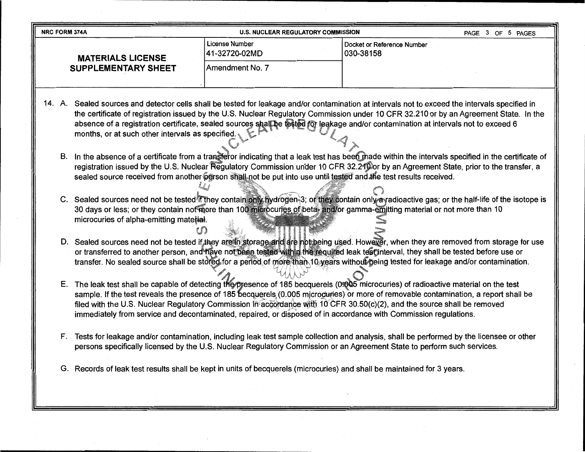| <b>U.S. NUCLEAR REGULATORY COMMISSION</b><br><b>NRC FORM 374A</b>                                                                          |                                 |                                           | PAGE 3 OF 5 PAGES |
|--------------------------------------------------------------------------------------------------------------------------------------------|---------------------------------|-------------------------------------------|-------------------|
| <b>MATERIALS LICENSE</b><br><b>SUPPLEMENTARY SHEET</b>                                                                                     | License Number<br>41-32720-02MD | l Docket or Reference Number<br>030-38158 |                   |
|                                                                                                                                            | IAmendment No. 7                |                                           |                   |
| A Cooled seurose and detactor solle shall be tested for leakage and/or contamination at intervals not to exceed the intervals specified in |                                 |                                           |                   |

- Sealed sources and detector cells shall be tested for leakage and/or contamination at intervals not to exceed the intervals specified in the certificate of registration issued by the U.S. Nuclear Regulatory Commission under 10 CFR 32.210 or by an Agreement State. In the absence of a registration certificate, sealed sources shall be tested for leakage and/or contamination at intervals not to exceed 6 months, or at such other intervals as specified.
	- B. In the absence of a certificate from a transferor indicating that a leak test has been made within the intervals specified in the certificate of registration issued by the U.S. Nuclear Regulatory Commission under 10 CFR 32.210 or by an Agreement State, prior to the transfer, a sealed source received from another person shall not be put into use until tested and the test results received.
	- C. Sealed sources need not be tested if they contain only hydrogen-3; or they contain only a radioactive gas; or the half-life of the isotope is 30 days or less; or they contain not more than 100 microcuries of beta- and/or gamma-emitting material or not more than 10 microcuries of alpha-emitting material.
	- D. Sealed sources need not be tested if they are in storage and are not being used. However, when they are removed from storage for use or transferred to another person, and have not been tested within the required leak test interval, they shall be tested before use or transfer. No sealed source shall be stored for a period of more than 10 years without being tested for leakage and/or contamination.
	- E. The leak test shall be capable of detecting the presence of 185 becquerels (01005 microcuries) of radioactive material on the test sample. If the test reveals the presence of 185 becquerels (0.005 microcuries) or more of removable contamination, a report shall be filed with the U.S. Nuclear Regulatory Commission in accordance with 10 CFR 30.50(c)(2), and the source shall be removed immediately from service and decontaminated, repaired, or disposed of in accordance with Commission regulations.
	- F. Tests for leakage and/or contamination, including leak test sample collection and analysis, shall be performed by the licensee or other persons specifically licensed by the U.S. Nuclear Regulatory Commission or an Agreement State to perform such services.
	- G. Records of leak test results shall be kept in units of becquerels (microcuries) and shall be maintained for 3 years.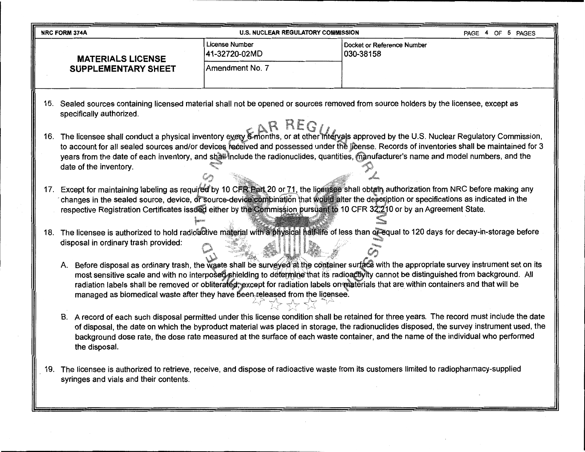|     | PAGE 4 OF 5 PAGES<br><b>NRC FORM 374A</b><br><b>U.S. NUCLEAR REGULATORY COMMISSION</b>                                                                                                                                                                                                                                                                                                                                                                                                                                                                                                                                 |                                 |                                                                                                                                        |  |  |  |  |
|-----|------------------------------------------------------------------------------------------------------------------------------------------------------------------------------------------------------------------------------------------------------------------------------------------------------------------------------------------------------------------------------------------------------------------------------------------------------------------------------------------------------------------------------------------------------------------------------------------------------------------------|---------------------------------|----------------------------------------------------------------------------------------------------------------------------------------|--|--|--|--|
|     | <b>MATERIALS LICENSE</b>                                                                                                                                                                                                                                                                                                                                                                                                                                                                                                                                                                                               | License Number<br>41-32720-02MD | Docket or Reference Number<br>030-38158                                                                                                |  |  |  |  |
|     | <b>SUPPLEMENTARY SHEET</b>                                                                                                                                                                                                                                                                                                                                                                                                                                                                                                                                                                                             | Amendment No. 7                 |                                                                                                                                        |  |  |  |  |
| 15. | specifically authorized.                                                                                                                                                                                                                                                                                                                                                                                                                                                                                                                                                                                               |                                 | Sealed sources containing licensed material shall not be opened or sources removed from source holders by the licensee, except as      |  |  |  |  |
|     | 16. The licensee shall conduct a physical inventory every 6 months, or at other intervals approved by the U.S. Nuclear Regulatory Commission,<br>to account for all sealed sources and/or devices received and possessed under the license. Records of inventories shall be maintained for 3<br>years from the date of each inventory, and shall include the radionuclides, quantities, manufacturer's name and model numbers, and the<br>date of the inventory.                                                                                                                                                       |                                 |                                                                                                                                        |  |  |  |  |
|     | 17. Except for maintaining labeling as required by 10 CFR Part 20 or 71, the licensee shall obtain authorization from NRC before making any<br>changes in the sealed source, device, or source-device combination that would alter the description or specifications as indicated in the<br>respective Registration Certificates issued either by the Commission pursuant to 10 CFR 32.210 or by an Agreement State.<br>The licensee is authorized to hold radioactive material with a physical half-life of less than of equal to 120 days for decay-in-storage before<br>18.<br>disposal in ordinary trash provided: |                                 |                                                                                                                                        |  |  |  |  |
|     | A. Before disposal as ordinary trash, the waste shall be surveyed at the container surface with the appropriate survey instrument set on its<br>most sensitive scale and with no interposed shielding to determine that its radioactivity cannot be distinguished from background. All<br>radiation labels shall be removed or obliterated; except for radiation labels on materials that are within containers and that will be<br>managed as biomedical waste after they have been released from the licensee.                                                                                                       |                                 |                                                                                                                                        |  |  |  |  |
|     | B. A record of each such disposal permitted under this license condition shall be retained for three years. The record must include the date<br>of disposal, the date on which the byproduct material was placed in storage, the radionuclides disposed, the survey instrument used, the<br>background dose rate, the dose rate measured at the surface of each waste container, and the name of the individual who performed<br>the disposal.                                                                                                                                                                         |                                 |                                                                                                                                        |  |  |  |  |
| 19. | syringes and vials and their contents.                                                                                                                                                                                                                                                                                                                                                                                                                                                                                                                                                                                 |                                 | The licensee is authorized to retrieve, receive, and dispose of radioactive waste from its customers limited to radiopharmacy-supplied |  |  |  |  |

 $\mathcal{L}^{\text{max}}_{\text{max}}$  and  $\mathcal{L}^{\text{max}}_{\text{max}}$ 

 $\sim 0.1$ 

----